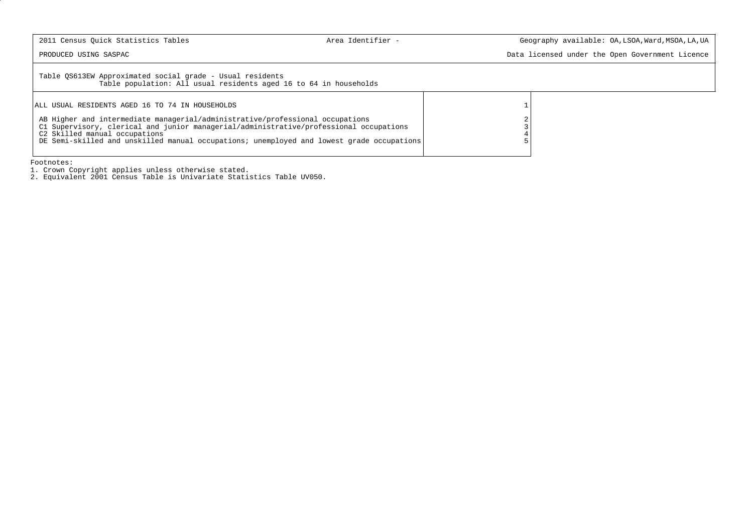PRODUCED USING SASPAC Data licensed under the Open Government Licence

Table QS613EW Approximated social grade - Usual residents Table population: All usual residents aged 16 to 64 in households

| ALL USUAL RESIDENTS AGED 16 TO 74 IN HOUSEHOLDS                                                                                                                                                                                                                                                       |   |
|-------------------------------------------------------------------------------------------------------------------------------------------------------------------------------------------------------------------------------------------------------------------------------------------------------|---|
| AB Higher and intermediate managerial/administrative/professional occupations<br>C1 Supervisory, clerical and junior managerial/administrative/professional occupations<br>C2 Skilled manual occupations<br>DE Semi-skilled and unskilled manual occupations; unemployed and lowest grade occupations | 2 |

Footnotes:

1. Crown Copyright applies unless otherwise stated. 2. Equivalent 2001 Census Table is Univariate Statistics Table UV050.